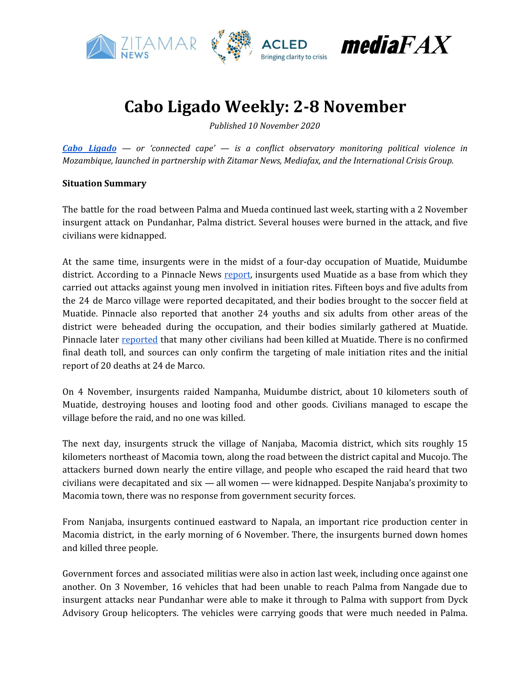

## **Cabo Ligado Weekly: 2-8 November**

*Published 10 November 2020*

*Cabo [Ligado](https://acleddata.com/cabo-ligado-mozambique-conflict-observatory/) — or 'connected cape' — is a conflict observatory monitoring political violence in Mozambique, launched in partnership with Zitamar News, Mediafax, and the International Crisis Group.*

#### **Situation Summary**

The battle for the road between Palma and Mueda continued last week, starting with a 2 November insurgent attack on Pundanhar, Palma district. Several houses were burned in the attack, and five civilians were kidnapped.

At the same time, insurgents were in the midst of a four-day occupation of Muatide, Muidumbe district. According to a Pinnacle News [report,](http://pinnaclenews.net/rescaldo-semanal-07-11-2020/) insurgents used Muatide as a base from which they carried out attacks against young men involved in initiation rites. Fifteen boys and five adults from the 24 de Marco village were reported decapitated, and their bodies brought to the soccer field at Muatide. Pinnacle also reported that another 24 youths and six adults from other areas of the district were beheaded during the occupation, and their bodies similarly gathered at Muatide. Pinnacle later [reported](http://pinnaclenews.net/muidumbe-centenas-de-insurgentes-fazem-centenas-de-decapitacoes/) that many other civilians had been killed at Muatide. There is no confirmed final death toll, and sources can only confirm the targeting of male initiation rites and the initial report of 20 deaths at 24 de Marco.

On 4 November, insurgents raided Nampanha, Muidumbe district, about 10 kilometers south of Muatide, destroying houses and looting food and other goods. Civilians managed to escape the village before the raid, and no one was killed.

The next day, insurgents struck the village of Nanjaba, Macomia district, which sits roughly 15 kilometers northeast of Macomia town, along the road between the district capital and Mucojo. The attackers burned down nearly the entire village, and people who escaped the raid heard that two civilians were decapitated and six — all women — were kidnapped. Despite Nanjaba's proximity to Macomia town, there was no response from government security forces.

From Nanjaba, insurgents continued eastward to Napala, an important rice production center in Macomia district, in the early morning of 6 November. There, the insurgents burned down homes and killed three people.

Government forces and associated militias were also in action last week, including once against one another. On 3 November, 16 vehicles that had been unable to reach Palma from Nangade due to insurgent attacks near Pundanhar were able to make it through to Palma with support from Dyck Advisory Group helicopters. The vehicles were carrying goods that were much needed in Palma.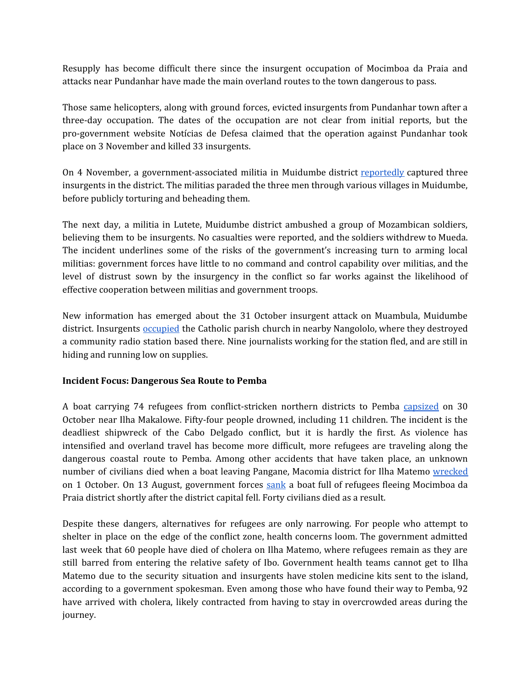Resupply has become difficult there since the insurgent occupation of Mocimboa da Praia and attacks near Pundanhar have made the main overland routes to the town dangerous to pass.

Those same helicopters, along with ground forces, evicted insurgents from Pundanhar town after a three-day occupation. The dates of the occupation are not clear from initial reports, but the pro-government website Notícias de Defesa claimed that the operation against Pundanhar took place on 3 November and killed 33 insurgents.

On 4 November, a government-associated militia in Muidumbe district [reportedly](http://pinnaclenews.net/populacao-decapita-pelo-menos-3-insurgentes/) captured three insurgents in the district. The militias paraded the three men through various villages in Muidumbe, before publicly torturing and beheading them.

The next day, a militia in Lutete, Muidumbe district ambushed a group of Mozambican soldiers, believing them to be insurgents. No casualties were reported, and the soldiers withdrew to Mueda. The incident underlines some of the risks of the government's increasing turn to arming local militias: government forces have little to no command and control capability over militias, and the level of distrust sown by the insurgency in the conflict so far works against the likelihood of effective cooperation between militias and government troops.

New information has emerged about the 31 October insurgent attack on Muambula, Muidumbe district. Insurgents [occupied](http://portocanal.sapo.pt/noticia/242807) the Catholic parish church in nearby Nangololo, where they destroyed a community radio station based there. Nine journalists working for the station fled, and are still in hiding and running low on supplies.

#### **Incident Focus: Dangerous Sea Route to Pemba**

A boat carrying 74 refugees from conflict-stricken northern districts to Pemba [capsized](https://zitamar.com/54-dead-in-refugee-boat-accident-off-cabo-delgado/) on 30 October near Ilha Makalowe. Fifty-four people drowned, including 11 children. The incident is the deadliest shipwreck of the Cabo Delgado conflict, but it is hardly the first. As violence has intensified and overland travel has become more difficult, more refugees are traveling along the dangerous coastal route to Pemba. Among other accidents that have taken place, an unknown number of civilians died when a boat leaving Pangane, Macomia district for Ilha Matemo [wrecked](https://reliefweb.int/report/mozambique/cabo-ligado-weekly-28-september-4-october) on 1 October. On 13 August, government forces [sank](https://acleddata.com/2020/08/25/cabo-ligado-weekly-17-23-august-2020/) a boat full of refugees fleeing Mocimboa da Praia district shortly after the district capital fell. Forty civilians died as a result.

Despite these dangers, alternatives for refugees are only narrowing. For people who attempt to shelter in place on the edge of the conflict zone, health concerns loom. The government admitted last week that 60 people have died of cholera on Ilha Matemo, where refugees remain as they are still barred from entering the relative safety of Ibo. Government health teams cannot get to Ilha Matemo due to the security situation and insurgents have stolen medicine kits sent to the island, according to a government spokesman. Even among those who have found their way to Pemba, 92 have arrived with cholera, likely contracted from having to stay in overcrowded areas during the journey.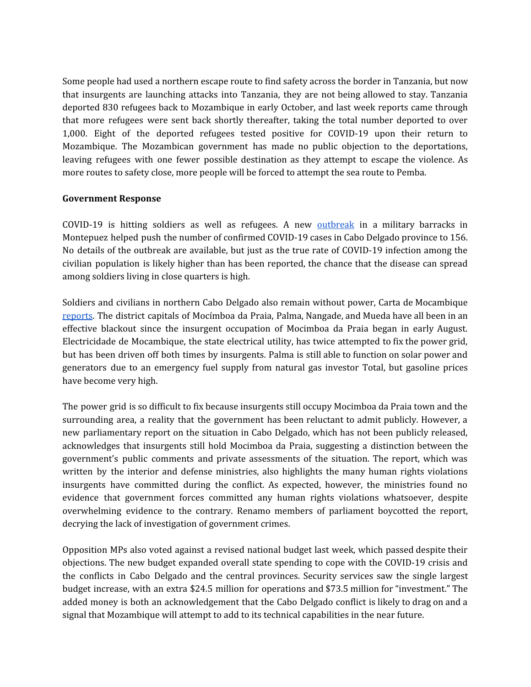Some people had used a northern escape route to find safety across the border in Tanzania, but now that insurgents are launching attacks into Tanzania, they are not being allowed to stay. Tanzania deported 830 refugees back to Mozambique in early October, and last week reports came through that more refugees were sent back shortly thereafter, taking the total number deported to over 1,000. Eight of the deported refugees tested positive for COVID-19 upon their return to Mozambique. The Mozambican government has made no public objection to the deportations, leaving refugees with one fewer possible destination as they attempt to escape the violence. As more routes to safety close, more people will be forced to attempt the sea route to Pemba.

#### **Government Response**

COVID-19 is hitting soldiers as well as refugees. A new **[outbreak](https://verdade.co.mz/adulto-morre-de-covid-19-na-cidade-de-maputo-surto-cresce-em-cabo-delgado/)** in a military barracks in Montepuez helped push the number of confirmed COVID-19 cases in Cabo Delgado province to 156. No details of the outbreak are available, but just as the true rate of COVID-19 infection among the civilian population is likely higher than has been reported, the chance that the disease can spread among soldiers living in close quarters is high.

Soldiers and civilians in northern Cabo Delgado also remain without power, Carta de Mocambique [reports](https://cartamz.com/index.php/sociedade/item/6467-norte-de-cabo-delgado-sem-energia-electrica-desde-a-tomada-de-mocimboa-da-praia). The district capitals of Mocímboa da Praia, Palma, Nangade, and Mueda have all been in an effective blackout since the insurgent occupation of Mocimboa da Praia began in early August. Electricidade de Mocambique, the state electrical utility, has twice attempted to fix the power grid, but has been driven off both times by insurgents. Palma is still able to function on solar power and generators due to an emergency fuel supply from natural gas investor Total, but gasoline prices have become very high.

The power grid is so difficult to fix because insurgents still occupy Mocimboa da Praia town and the surrounding area, a reality that the government has been reluctant to admit publicly. However, a new parliamentary report on the situation in Cabo Delgado, which has not been publicly released, acknowledges that insurgents still hold Mocimboa da Praia, suggesting a distinction between the government's public comments and private assessments of the situation. The report, which was written by the interior and defense ministries, also highlights the many human rights violations insurgents have committed during the conflict. As expected, however, the ministries found no evidence that government forces committed any human rights violations whatsoever, despite overwhelming evidence to the contrary. Renamo members of parliament boycotted the report, decrying the lack of investigation of government crimes.

Opposition MPs also voted against a revised national budget last week, which passed despite their objections. The new budget expanded overall state spending to cope with the COVID-19 crisis and the conflicts in Cabo Delgado and the central provinces. Security services saw the single largest budget increase, with an extra \$24.5 million for operations and \$73.5 million for "investment." The added money is both an acknowledgement that the Cabo Delgado conflict is likely to drag on and a signal that Mozambique will attempt to add to its technical capabilities in the near future.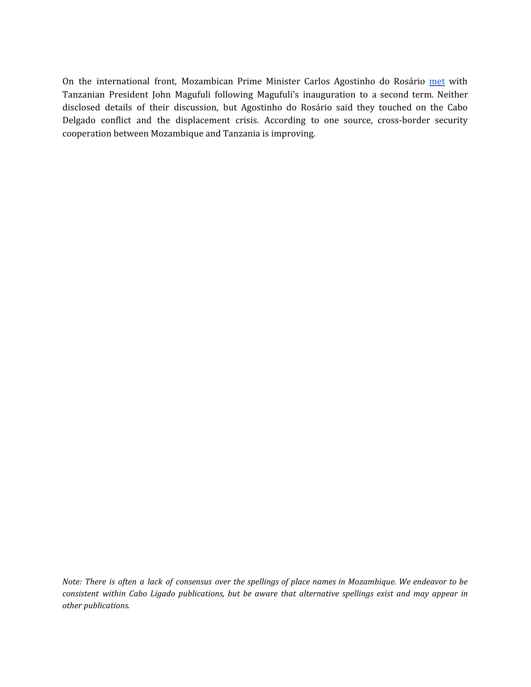On the international front, Mozambican Prime Minister Carlos Agostinho do Rosário [met](https://www.voaportugues.com/a/mo%C3%A7ambique-e-tanz%C3%A2nia-juntos-na-luta-contra-os-insurgentes-diz-carlos-agostinho-do-ros%C3%A1rio/5651181.html) with Tanzanian President John Magufuli following Magufuli's inauguration to a second term. Neither disclosed details of their discussion, but Agostinho do Rosário said they touched on the Cabo Delgado conflict and the displacement crisis. According to one source, cross-border security cooperation between Mozambique and Tanzania is improving.

Note: There is often a lack of consensus over the spellings of place names in Mozambique. We endeavor to be *consistent within Cabo Ligado publications, but be aware that alternative spellings exist and may appear in other publications.*